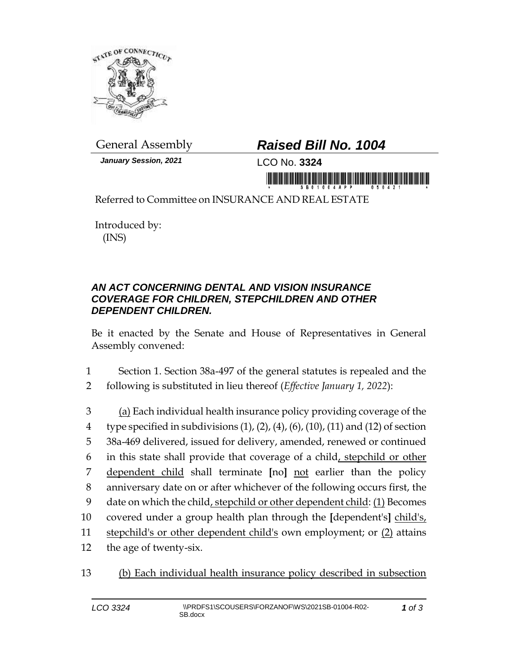

*January Session, 2021* LCO No. **3324**

## General Assembly *Raised Bill No. 1004*

in mondificial diddigion di final di anno i

Referred to Committee on INSURANCE AND REAL ESTATE

Introduced by: (INS)

## *AN ACT CONCERNING DENTAL AND VISION INSURANCE COVERAGE FOR CHILDREN, STEPCHILDREN AND OTHER DEPENDENT CHILDREN.*

Be it enacted by the Senate and House of Representatives in General Assembly convened:

- 1 Section 1. Section 38a-497 of the general statutes is repealed and the
- 2 following is substituted in lieu thereof (*Effective January 1, 2022*):
- 3 (a) Each individual health insurance policy providing coverage of the 4 type specified in subdivisions  $(1)$ ,  $(2)$ ,  $(4)$ ,  $(6)$ ,  $(10)$ ,  $(11)$  and  $(12)$  of section 5 38a-469 delivered, issued for delivery, amended, renewed or continued 6 in this state shall provide that coverage of a child, stepchild or other 7 dependent child shall terminate **[**no**]** not earlier than the policy 8 anniversary date on or after whichever of the following occurs first, the 9 date on which the child, stepchild or other dependent child: (1) Becomes 10 covered under a group health plan through the **[**dependent's**]** child's, 11 stepchild's or other dependent child's own employment; or (2) attains 12 the age of twenty-six.
- 13 (b) Each individual health insurance policy described in subsection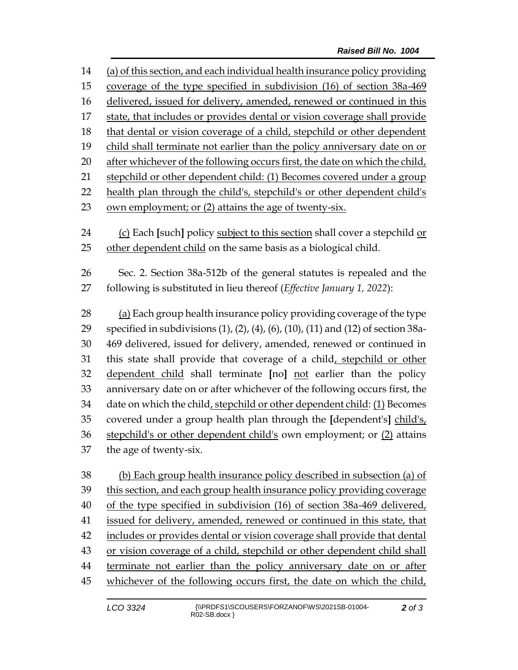| 14 | (a) of this section, and each individual health insurance policy providing        |  |  |
|----|-----------------------------------------------------------------------------------|--|--|
| 15 | coverage of the type specified in subdivision (16) of section 38a-469             |  |  |
| 16 | delivered, issued for delivery, amended, renewed or continued in this             |  |  |
| 17 | state, that includes or provides dental or vision coverage shall provide          |  |  |
| 18 | that dental or vision coverage of a child, stepchild or other dependent           |  |  |
| 19 | child shall terminate not earlier than the policy anniversary date on or          |  |  |
| 20 | after whichever of the following occurs first, the date on which the child,       |  |  |
| 21 | stepchild or other dependent child: (1) Becomes covered under a group             |  |  |
| 22 | health plan through the child's, stepchild's or other dependent child's           |  |  |
| 23 | own employment; or (2) attains the age of twenty-six.                             |  |  |
|    |                                                                                   |  |  |
| 24 | (c) Each [such] policy subject to this section shall cover a stepchild or         |  |  |
| 25 | other dependent child on the same basis as a biological child.                    |  |  |
| 26 | Sec. 2. Section 38a-512b of the general statutes is repealed and the              |  |  |
| 27 | following is substituted in lieu thereof (Effective January 1, 2022):             |  |  |
|    |                                                                                   |  |  |
| 28 | (a) Each group health insurance policy providing coverage of the type             |  |  |
| 29 | specified in subdivisions (1), (2), (4), (6), (10), (11) and (12) of section 38a- |  |  |
| 30 | 469 delivered, issued for delivery, amended, renewed or continued in              |  |  |
| 31 | this state shall provide that coverage of a child, stepchild or other             |  |  |
| 32 | dependent child shall terminate [no] not earlier than the policy                  |  |  |
| 33 | anniversary date on or after whichever of the following occurs first, the         |  |  |
| 34 | date on which the child, stepchild or other dependent child: (1) Becomes          |  |  |
| 35 | covered under a group health plan through the [dependent's] child's,              |  |  |
| 36 | stepchild's or other dependent child's own employment; or (2) attains             |  |  |
| 37 | the age of twenty-six.                                                            |  |  |
|    |                                                                                   |  |  |
| 38 | (b) Each group health insurance policy described in subsection (a) of             |  |  |

39 this section, and each group health insurance policy providing coverage of the type specified in subdivision (16) of section 38a-469 delivered, issued for delivery, amended, renewed or continued in this state, that includes or provides dental or vision coverage shall provide that dental or vision coverage of a child, stepchild or other dependent child shall terminate not earlier than the policy anniversary date on or after whichever of the following occurs first, the date on which the child,